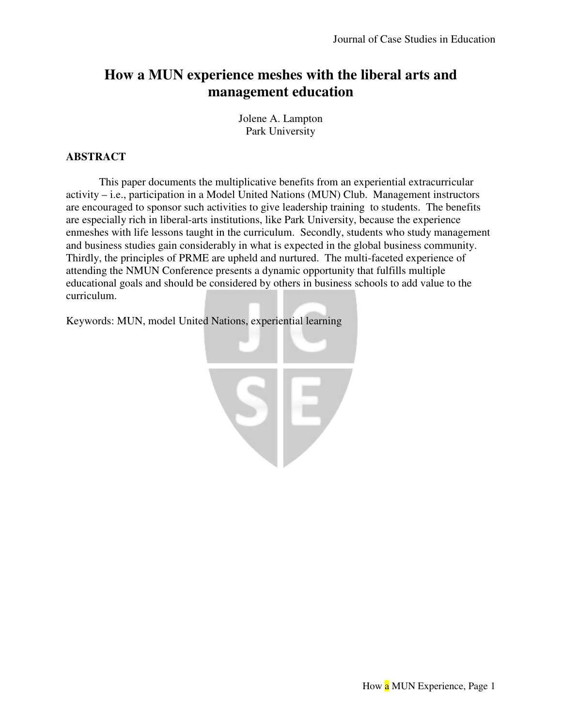# **How a MUN experience meshes with the liberal arts and management education**

Jolene A. Lampton Park University

# **ABSTRACT**

 This paper documents the multiplicative benefits from an experiential extracurricular activity – i.e., participation in a Model United Nations (MUN) Club. Management instructors are encouraged to sponsor such activities to give leadership training to students. The benefits are especially rich in liberal-arts institutions, like Park University, because the experience enmeshes with life lessons taught in the curriculum. Secondly, students who study management and business studies gain considerably in what is expected in the global business community. Thirdly, the principles of PRME are upheld and nurtured. The multi-faceted experience of attending the NMUN Conference presents a dynamic opportunity that fulfills multiple educational goals and should be considered by others in business schools to add value to the curriculum.

Keywords: MUN, model United Nations, experiential learning

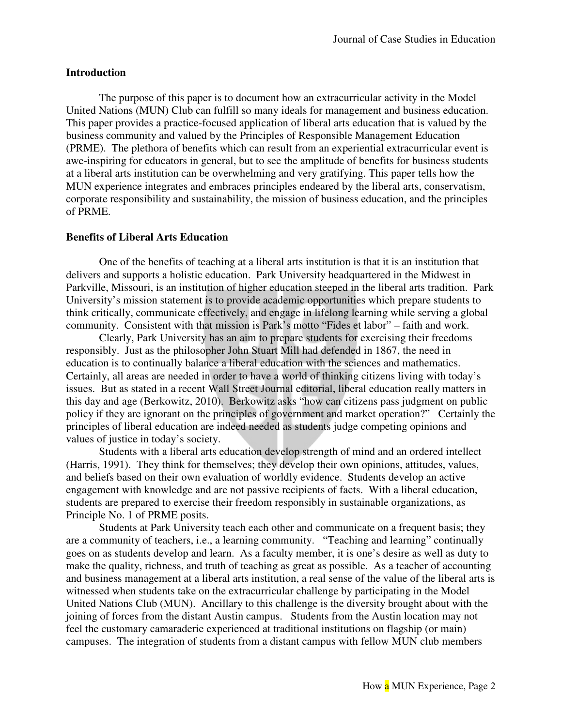#### **Introduction**

The purpose of this paper is to document how an extracurricular activity in the Model United Nations (MUN) Club can fulfill so many ideals for management and business education. This paper provides a practice-focused application of liberal arts education that is valued by the business community and valued by the Principles of Responsible Management Education (PRME). The plethora of benefits which can result from an experiential extracurricular event is awe-inspiring for educators in general, but to see the amplitude of benefits for business students at a liberal arts institution can be overwhelming and very gratifying. This paper tells how the MUN experience integrates and embraces principles endeared by the liberal arts, conservatism, corporate responsibility and sustainability, the mission of business education, and the principles of PRME.

#### **Benefits of Liberal Arts Education**

One of the benefits of teaching at a liberal arts institution is that it is an institution that delivers and supports a holistic education. Park University headquartered in the Midwest in Parkville, Missouri, is an institution of higher education steeped in the liberal arts tradition. Park University's mission statement is to provide academic opportunities which prepare students to think critically, communicate effectively, and engage in lifelong learning while serving a global community. Consistent with that mission is Park's motto "Fides et labor" – faith and work.

Clearly, Park University has an aim to prepare students for exercising their freedoms responsibly. Just as the philosopher John Stuart Mill had defended in 1867, the need in education is to continually balance a liberal education with the sciences and mathematics. Certainly, all areas are needed in order to have a world of thinking citizens living with today's issues. But as stated in a recent Wall Street Journal editorial, liberal education really matters in this day and age (Berkowitz, 2010). Berkowitz asks "how can citizens pass judgment on public policy if they are ignorant on the principles of government and market operation?" Certainly the principles of liberal education are indeed needed as students judge competing opinions and values of justice in today's society.

Students with a liberal arts education develop strength of mind and an ordered intellect (Harris, 1991). They think for themselves; they develop their own opinions, attitudes, values, and beliefs based on their own evaluation of worldly evidence. Students develop an active engagement with knowledge and are not passive recipients of facts. With a liberal education, students are prepared to exercise their freedom responsibly in sustainable organizations, as Principle No. 1 of PRME posits.

Students at Park University teach each other and communicate on a frequent basis; they are a community of teachers, i.e., a learning community. "Teaching and learning" continually goes on as students develop and learn. As a faculty member, it is one's desire as well as duty to make the quality, richness, and truth of teaching as great as possible. As a teacher of accounting and business management at a liberal arts institution, a real sense of the value of the liberal arts is witnessed when students take on the extracurricular challenge by participating in the Model United Nations Club (MUN). Ancillary to this challenge is the diversity brought about with the joining of forces from the distant Austin campus. Students from the Austin location may not feel the customary camaraderie experienced at traditional institutions on flagship (or main) campuses. The integration of students from a distant campus with fellow MUN club members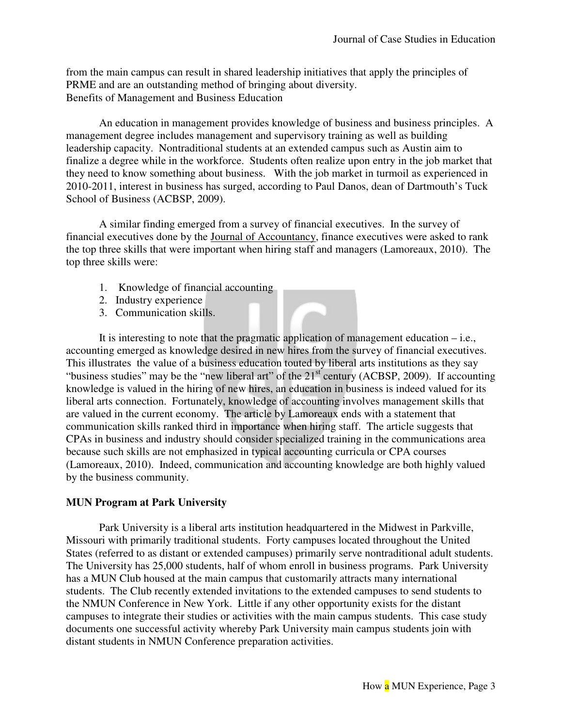from the main campus can result in shared leadership initiatives that apply the principles of PRME and are an outstanding method of bringing about diversity. Benefits of Management and Business Education

An education in management provides knowledge of business and business principles. A management degree includes management and supervisory training as well as building leadership capacity. Nontraditional students at an extended campus such as Austin aim to finalize a degree while in the workforce. Students often realize upon entry in the job market that they need to know something about business. With the job market in turmoil as experienced in 2010-2011, interest in business has surged, according to Paul Danos, dean of Dartmouth's Tuck School of Business (ACBSP, 2009).

A similar finding emerged from a survey of financial executives. In the survey of financial executives done by the Journal of Accountancy, finance executives were asked to rank the top three skills that were important when hiring staff and managers (Lamoreaux, 2010). The top three skills were:

- 1. Knowledge of financial accounting
- 2. Industry experience
- 3. Communication skills.

It is interesting to note that the pragmatic application of management education  $-$  i.e., accounting emerged as knowledge desired in new hires from the survey of financial executives. This illustrates the value of a business education touted by liberal arts institutions as they say "business studies" may be the "new liberal art" of the 21st century (ACBSP, 2009). If accounting knowledge is valued in the hiring of new hires, an education in business is indeed valued for its liberal arts connection. Fortunately, knowledge of accounting involves management skills that are valued in the current economy. The article by Lamoreaux ends with a statement that communication skills ranked third in importance when hiring staff. The article suggests that CPAs in business and industry should consider specialized training in the communications area because such skills are not emphasized in typical accounting curricula or CPA courses (Lamoreaux, 2010). Indeed, communication and accounting knowledge are both highly valued by the business community.

#### **MUN Program at Park University**

 Park University is a liberal arts institution headquartered in the Midwest in Parkville, Missouri with primarily traditional students. Forty campuses located throughout the United States (referred to as distant or extended campuses) primarily serve nontraditional adult students. The University has 25,000 students, half of whom enroll in business programs. Park University has a MUN Club housed at the main campus that customarily attracts many international students. The Club recently extended invitations to the extended campuses to send students to the NMUN Conference in New York. Little if any other opportunity exists for the distant campuses to integrate their studies or activities with the main campus students. This case study documents one successful activity whereby Park University main campus students join with distant students in NMUN Conference preparation activities.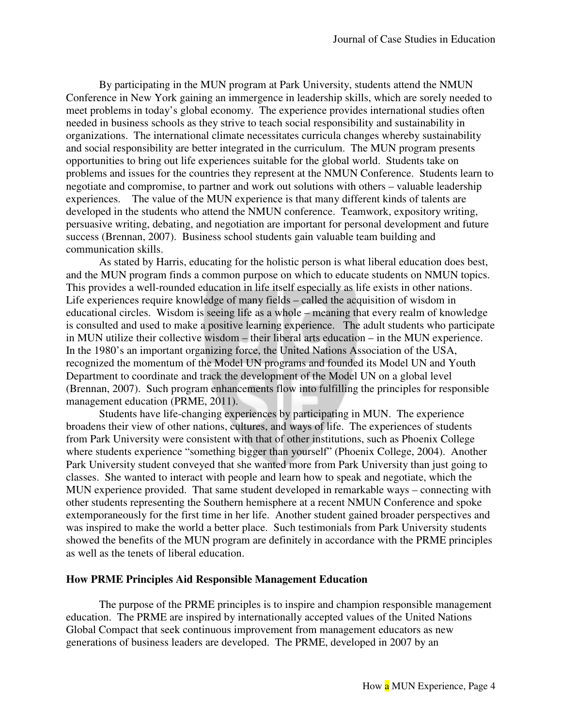By participating in the MUN program at Park University, students attend the NMUN Conference in New York gaining an immergence in leadership skills, which are sorely needed to meet problems in today's global economy. The experience provides international studies often needed in business schools as they strive to teach social responsibility and sustainability in organizations. The international climate necessitates curricula changes whereby sustainability and social responsibility are better integrated in the curriculum. The MUN program presents opportunities to bring out life experiences suitable for the global world. Students take on problems and issues for the countries they represent at the NMUN Conference. Students learn to negotiate and compromise, to partner and work out solutions with others – valuable leadership experiences. The value of the MUN experience is that many different kinds of talents are developed in the students who attend the NMUN conference. Teamwork, expository writing, persuasive writing, debating, and negotiation are important for personal development and future success (Brennan, 2007). Business school students gain valuable team building and communication skills.

 As stated by Harris, educating for the holistic person is what liberal education does best, and the MUN program finds a common purpose on which to educate students on NMUN topics. This provides a well-rounded education in life itself especially as life exists in other nations. Life experiences require knowledge of many fields – called the acquisition of wisdom in educational circles. Wisdom is seeing life as a whole – meaning that every realm of knowledge is consulted and used to make a positive learning experience. The adult students who participate in MUN utilize their collective wisdom – their liberal arts education – in the MUN experience. In the 1980's an important organizing force, the United Nations Association of the USA, recognized the momentum of the Model UN programs and founded its Model UN and Youth Department to coordinate and track the development of the Model UN on a global level (Brennan, 2007). Such program enhancements flow into fulfilling the principles for responsible management education (PRME, 2011).

 Students have life-changing experiences by participating in MUN. The experience broadens their view of other nations, cultures, and ways of life. The experiences of students from Park University were consistent with that of other institutions, such as Phoenix College where students experience "something bigger than yourself" (Phoenix College, 2004). Another Park University student conveyed that she wanted more from Park University than just going to classes. She wanted to interact with people and learn how to speak and negotiate, which the MUN experience provided. That same student developed in remarkable ways – connecting with other students representing the Southern hemisphere at a recent NMUN Conference and spoke extemporaneously for the first time in her life. Another student gained broader perspectives and was inspired to make the world a better place. Such testimonials from Park University students showed the benefits of the MUN program are definitely in accordance with the PRME principles as well as the tenets of liberal education.

#### **How PRME Principles Aid Responsible Management Education**

 The purpose of the PRME principles is to inspire and champion responsible management education. The PRME are inspired by internationally accepted values of the United Nations Global Compact that seek continuous improvement from management educators as new generations of business leaders are developed. The PRME, developed in 2007 by an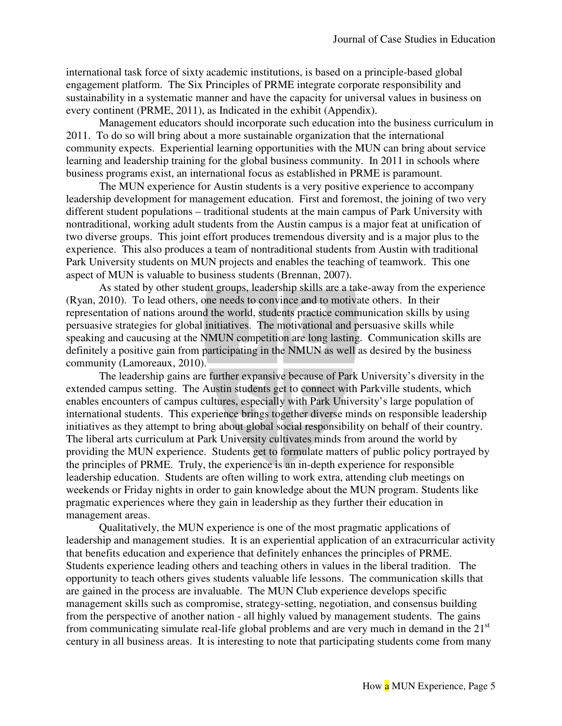international task force of sixty academic institutions, is based on a principle-based global engagement platform. The Six Principles of PRME integrate corporate responsibility and sustainability in a systematic manner and have the capacity for universal values in business on every continent (PRME, 2011), as Indicated in the exhibit (Appendix).

 Management educators should incorporate such education into the business curriculum in 2011. To do so will bring about a more sustainable organization that the international community expects. Experiential learning opportunities with the MUN can bring about service learning and leadership training for the global business community. In 2011 in schools where business programs exist, an international focus as established in PRME is paramount.

 The MUN experience for Austin students is a very positive experience to accompany leadership development for management education. First and foremost, the joining of two very different student populations – traditional students at the main campus of Park University with nontraditional, working adult students from the Austin campus is a major feat at unification of two diverse groups. This joint effort produces tremendous diversity and is a major plus to the experience. This also produces a team of nontraditional students from Austin with traditional Park University students on MUN projects and enables the teaching of teamwork. This one aspect of MUN is valuable to business students (Brennan, 2007).

 As stated by other student groups, leadership skills are a take-away from the experience (Ryan, 2010). To lead others, one needs to convince and to motivate others. In their representation of nations around the world, students practice communication skills by using persuasive strategies for global initiatives. The motivational and persuasive skills while speaking and caucusing at the NMUN competition are long lasting. Communication skills are definitely a positive gain from participating in the NMUN as well as desired by the business community (Lamoreaux, 2010).

 The leadership gains are further expansive because of Park University's diversity in the extended campus setting. The Austin students get to connect with Parkville students, which enables encounters of campus cultures, especially with Park University's large population of international students. This experience brings together diverse minds on responsible leadership initiatives as they attempt to bring about global social responsibility on behalf of their country. The liberal arts curriculum at Park University cultivates minds from around the world by providing the MUN experience. Students get to formulate matters of public policy portrayed by the principles of PRME. Truly, the experience is an in-depth experience for responsible leadership education. Students are often willing to work extra, attending club meetings on weekends or Friday nights in order to gain knowledge about the MUN program. Students like pragmatic experiences where they gain in leadership as they further their education in management areas.

 Qualitatively, the MUN experience is one of the most pragmatic applications of leadership and management studies. It is an experiential application of an extracurricular activity that benefits education and experience that definitely enhances the principles of PRME. Students experience leading others and teaching others in values in the liberal tradition. The opportunity to teach others gives students valuable life lessons. The communication skills that are gained in the process are invaluable. The MUN Club experience develops specific management skills such as compromise, strategy-setting, negotiation, and consensus building from the perspective of another nation - all highly valued by management students. The gains from communicating simulate real-life global problems and are very much in demand in the  $21<sup>st</sup>$ century in all business areas. It is interesting to note that participating students come from many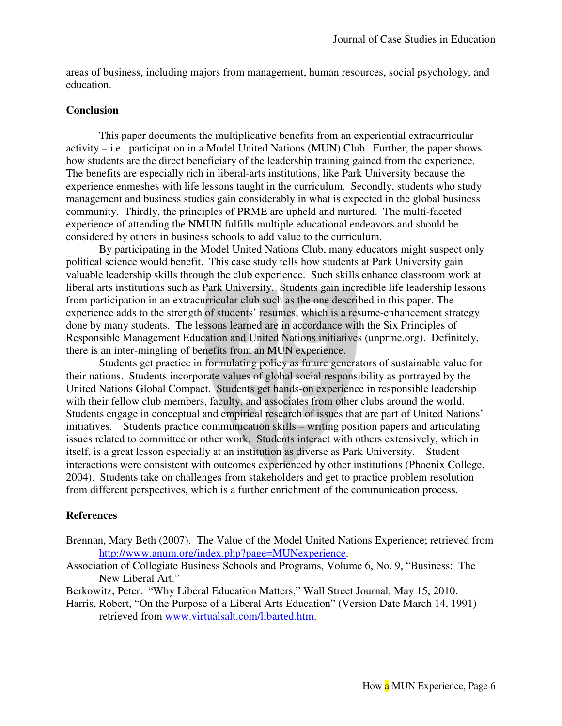areas of business, including majors from management, human resources, social psychology, and education.

#### **Conclusion**

 This paper documents the multiplicative benefits from an experiential extracurricular activity – i.e., participation in a Model United Nations (MUN) Club. Further, the paper shows how students are the direct beneficiary of the leadership training gained from the experience. The benefits are especially rich in liberal-arts institutions, like Park University because the experience enmeshes with life lessons taught in the curriculum. Secondly, students who study management and business studies gain considerably in what is expected in the global business community. Thirdly, the principles of PRME are upheld and nurtured. The multi-faceted experience of attending the NMUN fulfills multiple educational endeavors and should be considered by others in business schools to add value to the curriculum.

 By participating in the Model United Nations Club, many educators might suspect only political science would benefit. This case study tells how students at Park University gain valuable leadership skills through the club experience. Such skills enhance classroom work at liberal arts institutions such as Park University. Students gain incredible life leadership lessons from participation in an extracurricular club such as the one described in this paper. The experience adds to the strength of students' resumes, which is a resume-enhancement strategy done by many students. The lessons learned are in accordance with the Six Principles of Responsible Management Education and United Nations initiatives (unprme.org). Definitely, there is an inter-mingling of benefits from an MUN experience.

 Students get practice in formulating policy as future generators of sustainable value for their nations. Students incorporate values of global social responsibility as portrayed by the United Nations Global Compact. Students get hands-on experience in responsible leadership with their fellow club members, faculty, and associates from other clubs around the world. Students engage in conceptual and empirical research of issues that are part of United Nations' initiatives. Students practice communication skills – writing position papers and articulating issues related to committee or other work. Students interact with others extensively, which in itself, is a great lesson especially at an institution as diverse as Park University. Student interactions were consistent with outcomes experienced by other institutions (Phoenix College, 2004). Students take on challenges from stakeholders and get to practice problem resolution from different perspectives, which is a further enrichment of the communication process.

#### **References**

- Brennan, Mary Beth (2007). The Value of the Model United Nations Experience; retrieved from http://www.anum.org/index.php?page=MUNexperience.
- Association of Collegiate Business Schools and Programs, Volume 6, No. 9, "Business: The New Liberal Art."

Berkowitz, Peter. "Why Liberal Education Matters," Wall Street Journal, May 15, 2010.

Harris, Robert, "On the Purpose of a Liberal Arts Education" (Version Date March 14, 1991) retrieved from www.virtualsalt.com/libarted.htm.